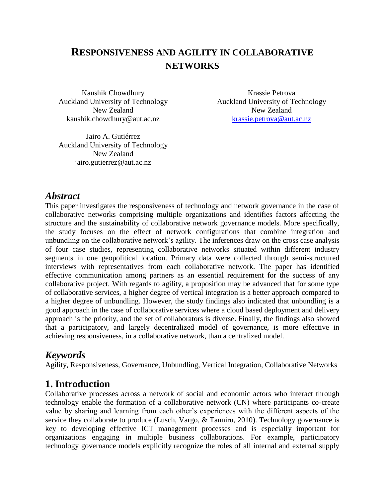# **RESPONSIVENESS AND AGILITY IN COLLABORATIVE NETWORKS**

Kaushik Chowdhury Auckland University of Technology New Zealand kaushik.chowdhury@aut.ac.nz

Krassie Petrova Auckland University of Technology New Zealand [krassie.petrova@aut.ac.nz](mailto:krassie.petrova@aut.ac.nz)

Jairo A. Gutiérrez Auckland University of Technology New Zealand jairo.gutierrez@aut.ac.nz

### *Abstract*

This paper investigates the responsiveness of technology and network governance in the case of collaborative networks comprising multiple organizations and identifies factors affecting the structure and the sustainability of collaborative network governance models. More specifically, the study focuses on the effect of network configurations that combine integration and unbundling on the collaborative network's agility. The inferences draw on the cross case analysis of four case studies, representing collaborative networks situated within different industry segments in one geopolitical location. Primary data were collected through semi-structured interviews with representatives from each collaborative network. The paper has identified effective communication among partners as an essential requirement for the success of any collaborative project. With regards to agility, a proposition may be advanced that for some type of collaborative services, a higher degree of vertical integration is a better approach compared to a higher degree of unbundling. However, the study findings also indicated that unbundling is a good approach in the case of collaborative services where a cloud based deployment and delivery approach is the priority, and the set of collaborators is diverse. Finally, the findings also showed that a participatory, and largely decentralized model of governance, is more effective in achieving responsiveness, in a collaborative network, than a centralized model.

### *Keywords*

Agility, Responsiveness, Governance, Unbundling, Vertical Integration, Collaborative Networks

### **1. Introduction**

Collaborative processes across a network of social and economic actors who interact through technology enable the formation of a collaborative network (CN) where participants co-create value by sharing and learning from each other's experiences with the different aspects of the service they collaborate to produce [\(Lusch, Vargo, & Tanniru, 2010\)](#page-11-0). Technology governance is key to developing effective ICT management processes and is especially important for organizations engaging in multiple business collaborations. For example, participatory technology governance models explicitly recognize the roles of all internal and external supply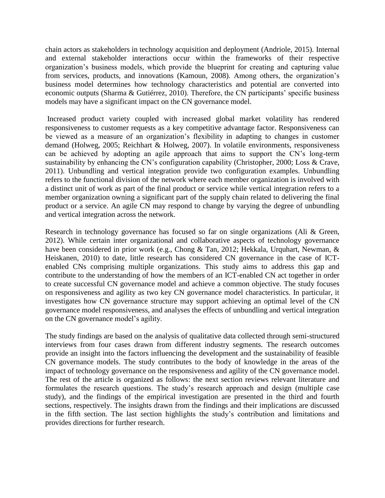chain actors as stakeholders in technology acquisition and deployment [\(Andriole, 2015\)](#page-10-0). Internal and external stakeholder interactions occur within the frameworks of their respective organization's business models, which provide the blueprint for creating and capturing value from services, products, and innovations [\(Kamoun, 2008\)](#page-11-1). Among others, the organization's business model determines how technology characteristics and potential are converted into economic outputs [\(Sharma & Gutiérrez, 2010\)](#page-11-2). Therefore, the CN participants' specific business models may have a significant impact on the CN governance model.

Increased product variety coupled with increased global market volatility has rendered responsiveness to customer requests as a key competitive advantage factor. Responsiveness can be viewed as a measure of an organization's flexibility in adapting to changes in customer demand [\(Holweg, 2005;](#page-11-3) [Reichhart & Holweg, 2007\)](#page-11-4). In volatile environments, responsiveness can be achieved by adopting an agile approach that aims to support the CN's long-term sustainability by enhancing the CN's configuration capability [\(Christopher, 2000;](#page-10-1) [Loss & Crave,](#page-11-5)  [2011\)](#page-11-5). Unbundling and vertical integration provide two configuration examples. Unbundling refers to the functional division of the network where each member organization is involved with a distinct unit of work as part of the final product or service while vertical integration refers to a member organization owning a significant part of the supply chain related to delivering the final product or a service. An agile CN may respond to change by varying the degree of unbundling and vertical integration across the network.

Research in technology governance has focused so far on single organizations (Ali & Green, [2012\)](#page-10-2). While certain inter organizational and collaborative aspects of technology governance have been considered in prior work (e.g., [Chong & Tan, 2012;](#page-10-3) [Hekkala, Urquhart, Newman, &](#page-11-6)  [Heiskanen, 2010\)](#page-11-6) to date, little research has considered CN governance in the case of ICTenabled CNs comprising multiple organizations. This study aims to address this gap and contribute to the understanding of how the members of an ICT-enabled CN act together in order to create successful CN governance model and achieve a common objective. The study focuses on responsiveness and agility as two key CN governance model characteristics. In particular, it investigates how CN governance structure may support achieving an optimal level of the CN governance model responsiveness, and analyses the effects of unbundling and vertical integration on the CN governance model's agility.

The study findings are based on the analysis of qualitative data collected through semi-structured interviews from four cases drawn from different industry segments. The research outcomes provide an insight into the factors influencing the development and the sustainability of feasible CN governance models. The study contributes to the body of knowledge in the areas of the impact of technology governance on the responsiveness and agility of the CN governance model. The rest of the article is organized as follows: the next section reviews relevant literature and formulates the research questions. The study's research approach and design (multiple case study), and the findings of the empirical investigation are presented in the third and fourth sections, respectively. The insights drawn from the findings and their implications are discussed in the fifth section. The last section highlights the study's contribution and limitations and provides directions for further research.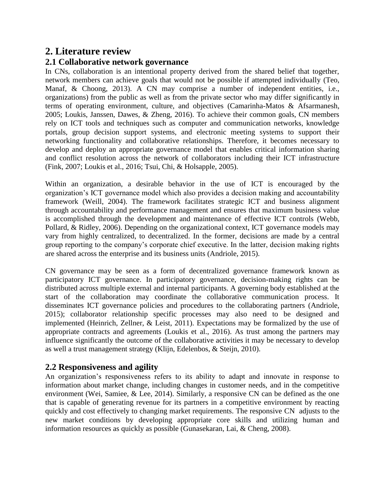# **2. Literature review**

#### **2.1 Collaborative network governance**

In CNs, collaboration is an intentional property derived from the shared belief that together, network members can achieve goals that would not be possible if attempted individually [\(Teo,](#page-11-7)  [Manaf, & Choong, 2013\)](#page-11-7). A CN may comprise a number of independent entities, i.e., organizations) from the public as well as from the private sector who may differ significantly in terms of operating environment, culture, and objectives [\(Camarinha-Matos & Afsarmanesh,](#page-10-4)  [2005;](#page-10-4) [Loukis, Janssen, Dawes, & Zheng, 2016\)](#page-11-8). To achieve their common goals, CN members rely on ICT tools and techniques such as computer and communication networks, knowledge portals, group decision support systems, and electronic meeting systems to support their networking functionality and collaborative relationships. Therefore, it becomes necessary to develop and deploy an appropriate governance model that enables critical information sharing and conflict resolution across the network of collaborators including their ICT infrastructure [\(Fink, 2007;](#page-11-9) [Loukis et al., 2016;](#page-11-8) [Tsui, Chi, & Holsapple, 2005\)](#page-11-10).

Within an organization, a desirable behavior in the use of ICT is encouraged by the organization's ICT governance model which also provides a decision making and accountability framework [\(Weill, 2004\)](#page-12-0). The framework facilitates strategic ICT and business alignment through accountability and performance management and ensures that maximum business value is accomplished through the development and maintenance of effective ICT controls [\(Webb,](#page-11-11)  [Pollard, & Ridley, 2006\)](#page-11-11). Depending on the organizational context, ICT governance models may vary from highly centralized, to decentralized. In the former, decisions are made by a central group reporting to the company's corporate chief executive. In the latter, decision making rights are shared across the enterprise and its business units [\(Andriole, 2015\)](#page-10-0).

CN governance may be seen as a form of decentralized governance framework known as participatory ICT governance. In participatory governance, decision-making rights can be distributed across multiple external and internal participants. A governing body established at the start of the collaboration may coordinate the collaborative communication process. It disseminates ICT governance policies and procedures to the collaborating partners [\(Andriole,](#page-10-0)  [2015\)](#page-10-0); collaborator relationship specific processes may also need to be designed and implemented [\(Heinrich, Zellner, & Leist, 2011\)](#page-11-12). Expectations may be formalized by the use of appropriate contracts and agreements [\(Loukis et al., 2016\)](#page-11-8). As trust among the partners may influence significantly the outcome of the collaborative activities it may be necessary to develop as well a trust management strategy [\(Klijn, Edelenbos, & Steijn, 2010\)](#page-11-13).

#### **2.2 Responsiveness and agility**

An organization's responsiveness refers to its ability to adapt and innovate in response to information about market change, including changes in customer needs, and in the competitive environment [\(Wei, Samiee, & Lee, 2014\)](#page-11-14). Similarly, a responsive CN can be defined as the one that is capable of generating revenue for its partners in a competitive environment by reacting quickly and cost effectively to changing market requirements. The responsive CN adjusts to the new market conditions by developing appropriate core skills and utilizing human and information resources as quickly as possible [\(Gunasekaran, Lai, & Cheng, 2008\)](#page-11-2).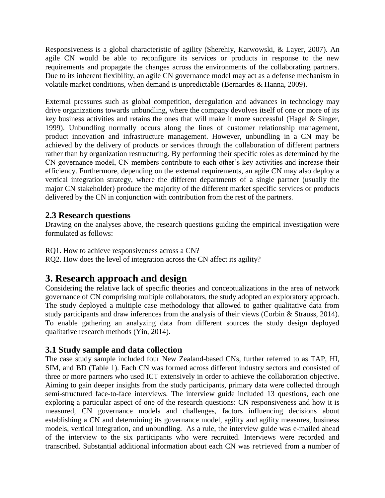Responsiveness is a global characteristic of agility [\(Sherehiy, Karwowski, & Layer, 2007\)](#page-11-15). An agile CN would be able to reconfigure its services or products in response to the new requirements and propagate the changes across the environments of the collaborating partners. Due to its inherent flexibility, an agile CN governance model may act as a defense mechanism in volatile market conditions, when demand is unpredictable [\(Bernardes & Hanna, 2009\)](#page-10-5).

External pressures such as global competition, deregulation and advances in technology may drive organizations towards unbundling, where the company devolves itself of one or more of its key business activities and retains the ones that will make it more successful [\(Hagel & Singer,](#page-11-16)  [1999\)](#page-11-16). Unbundling normally occurs along the lines of customer relationship management, product innovation and infrastructure management. However, unbundling in a CN may be achieved by the delivery of products or services through the collaboration of different partners rather than by organization restructuring. By performing their specific roles as determined by the CN governance model, CN members contribute to each other's key activities and increase their efficiency. Furthermore, depending on the external requirements, an agile CN may also deploy a vertical integration strategy, where the different departments of a single partner (usually the major CN stakeholder) produce the majority of the different market specific services or products delivered by the CN in conjunction with contribution from the rest of the partners.

### **2.3 Research questions**

Drawing on the analyses above, the research questions guiding the empirical investigation were formulated as follows:

RQ1. How to achieve responsiveness across a CN?

RQ2. How does the level of integration across the CN affect its agility?

# **3. Research approach and design**

Considering the relative lack of specific theories and conceptualizations in the area of network governance of CN comprising multiple collaborators, the study adopted an exploratory approach. The study deployed a multiple case methodology that allowed to gather qualitative data from study participants and draw inferences from the analysis of their views [\(Corbin & Strauss, 2014\)](#page-10-6). To enable gathering an analyzing data from different sources the study design deployed qualitative research methods [\(Yin, 2014\)](#page-12-1).

#### **3.1 Study sample and data collection**

The case study sample included four New Zealand-based CNs, further referred to as TAP, HI, SIM, and BD (Table 1). Each CN was formed across different industry sectors and consisted of three or more partners who used ICT extensively in order to achieve the collaboration objective. Aiming to gain deeper insights from the study participants, primary data were collected through semi-structured face-to-face interviews. The interview guide included 13 questions, each one exploring a particular aspect of one of the research questions: CN responsiveness and how it is measured, CN governance models and challenges, factors influencing decisions about establishing a CN and determining its governance model, agility and agility measures, business models, vertical integration, and unbundling. As a rule, the interview guide was e-mailed ahead of the interview to the six participants who were recruited. Interviews were recorded and transcribed. Substantial additional information about each CN was retrieved from a number of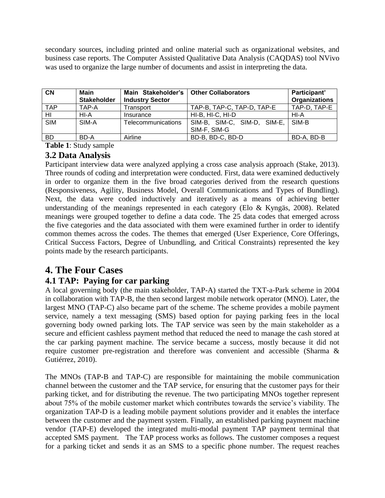secondary sources, including printed and online material such as organizational websites, and business case reports. The Computer Assisted Qualitative Data Analysis (CAQDAS) tool NVivo was used to organize the large number of documents and assist in interpreting the data.

| <b>CN</b>      | Main<br><b>Stakeholder</b> | Main Stakeholder's   Other Collaborators<br><b>Industry Sector</b> |                                             | Participant'<br><b>Organizations</b> |
|----------------|----------------------------|--------------------------------------------------------------------|---------------------------------------------|--------------------------------------|
| <b>TAP</b>     | TAP-A                      | Transport                                                          | TAP-B, TAP-C, TAP-D, TAP-E                  | TAP-D, TAP-E                         |
| H <sub>l</sub> | HI-A                       | Insurance                                                          | HI-B, HI-C, HI-D                            | HI-A                                 |
| <b>SIM</b>     | SIM-A                      | Telecommunications                                                 | SIM-B, SIM-C, SIM-D, SIM-E,<br>SIM-F, SIM-G | SIM-B                                |
| <b>BD</b>      | BD-A                       | Airline                                                            | BD-B, BD-C, BD-D                            | BD-A, BD-B                           |

**Table 1**: Study sample

### **3.2 Data Analysis**

Participant interview data were analyzed applying a cross case analysis approach [\(Stake, 2013\)](#page-11-17). Three rounds of coding and interpretation were conducted. First, data were examined deductively in order to organize them in the five broad categories derived from the research questions (Responsiveness, Agility, Business Model, Overall Communications and Types of Bundling). Next, the data were coded inductively and iteratively as a means of achieving better understanding of the meanings represented in each category [\(Elo & Kyngäs, 2008\)](#page-11-2). Related meanings were grouped together to define a data code. The 25 data codes that emerged across the five categories and the data associated with them were examined further in order to identify common themes across the codes. The themes that emerged (User Experience, Core Offerings, Critical Success Factors, Degree of Unbundling, and Critical Constraints) represented the key points made by the research participants.

# **4. The Four Cases**

### **4.1 TAP: Paying for car parking**

A local governing body (the main stakeholder, TAP-A) started the TXT-a-Park scheme in 2004 in collaboration with TAP-B, the then second largest mobile network operator (MNO). Later, the largest MNO (TAP-C) also became part of the scheme. The scheme provides a mobile payment service, namely a text messaging (SMS) based option for paying parking fees in the local governing body owned parking lots. The TAP service was seen by the main stakeholder as a secure and efficient cashless payment method that reduced the need to manage the cash stored at the car parking payment machine. The service became a success, mostly because it did not require customer pre-registration and therefore was convenient and accessible [\(Sharma &](#page-11-18)  [Gutiérrez, 2010\)](#page-11-18).

The MNOs (TAP-B and TAP-C) are responsible for maintaining the mobile communication channel between the customer and the TAP service, for ensuring that the customer pays for their parking ticket, and for distributing the revenue. The two participating MNOs together represent about 75% of the mobile customer market which contributes towards the service's viability. The organization TAP-D is a leading mobile payment solutions provider and it enables the interface between the customer and the payment system. Finally, an established parking payment machine vendor (TAP-E) developed the integrated multi-modal payment TAP payment terminal that accepted SMS payment. The TAP process works as follows. The customer composes a request for a parking ticket and sends it as an SMS to a specific phone number. The request reaches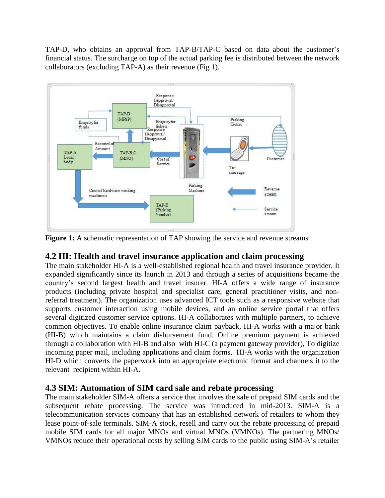TAP-D, who obtains an approval from TAP-B/TAP-C based on data about the customer's financial status. The surcharge on top of the actual parking fee is distributed between the network collaborators (excluding TAP-A) as their revenue (Fig 1).



**Figure 1:** A schematic representation of TAP showing the service and revenue streams

### **4.2 HI: Health and travel insurance application and claim processing**

The main stakeholder HI-A is a well-established regional health and travel insurance provider. It expanded significantly since its launch in 2013 and through a series of acquisitions became the country's second largest health and travel insurer. HI-A offers a wide range of insurance products (including private hospital and specialist care, general practitioner visits, and nonreferral treatment). The organization uses advanced ICT tools such as a responsive website that supports customer interaction using mobile devices, and an online service portal that offers several digitized customer service options. HI-A collaborates with multiple partners, to achieve common objectives. To enable online insurance claim payback, HI-A works with a major bank (HI-B) which maintains a claim disbursement fund. Online premium payment is achieved through a collaboration with HI-B and also with HI-C (a payment gateway provider), To digitize incoming paper mail, including applications and claim forms, HI-A works with the organization HI-D which converts the paperwork into an appropriate electronic format and channels it to the relevant recipient within HI-A.

### **4.3 SIM: Automation of SIM card sale and rebate processing**

The main stakeholder SIM-A offers a service that involves the sale of prepaid SIM cards and the subsequent rebate processing. The service was introduced in mid-2013. SIM-A is a telecommunication services company that has an established network of retailers to whom they lease point-of-sale terminals. SIM-A stock, resell and carry out the rebate processing of prepaid mobile SIM cards for all major MNOs and virtual MNOs (VMNOs). The partnering MNOs/ VMNOs reduce their operational costs by selling SIM cards to the public using SIM-A's retailer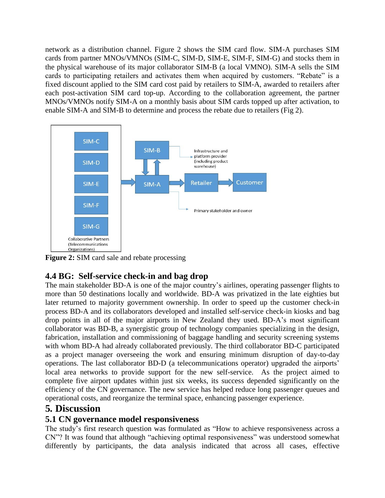network as a distribution channel. Figure 2 shows the SIM card flow. SIM-A purchases SIM cards from partner MNOs/VMNOs (SIM-C, SIM-D, SIM-E, SIM-F, SIM-G) and stocks them in the physical warehouse of its major collaborator SIM-B (a local VMNO). SIM-A sells the SIM cards to participating retailers and activates them when acquired by customers. "Rebate" is a fixed discount applied to the SIM card cost paid by retailers to SIM-A, awarded to retailers after each post-activation SIM card top-up. According to the collaboration agreement, the partner MNOs/VMNOs notify SIM-A on a monthly basis about SIM cards topped up after activation, to enable SIM-A and SIM-B to determine and process the rebate due to retailers (Fig 2).



**Figure 2:** SIM card sale and rebate processing

# **4.4 BG: Self-service check-in and bag drop**

The main stakeholder BD-A is one of the major country's airlines, operating passenger flights to more than 50 destinations locally and worldwide. BD-A was privatized in the late eighties but later returned to majority government ownership. In order to speed up the customer check-in process BD-A and its collaborators developed and installed self-service check-in kiosks and bag drop points in all of the major airports in New Zealand they used. BD-A's most significant collaborator was BD-B, a synergistic group of technology companies specializing in the design, fabrication, installation and commissioning of baggage handling and security screening systems with whom BD-A had already collaborated previously. The third collaborator BD-C participated as a project manager overseeing the work and ensuring minimum disruption of day-to-day operations. The last collaborator BD-D (a telecommunications operator) upgraded the airports' local area networks to provide support for the new self-service. As the project aimed to complete five airport updates within just six weeks, its success depended significantly on the efficiency of the CN governance. The new service has helped reduce long passenger queues and operational costs, and reorganize the terminal space, enhancing passenger experience.

# **5***.* **Discussion**

### **5.1 CN governance model responsiveness**

The study's first research question was formulated as "How to achieve responsiveness across a CN"? It was found that although "achieving optimal responsiveness" was understood somewhat differently by participants, the data analysis indicated that across all cases, effective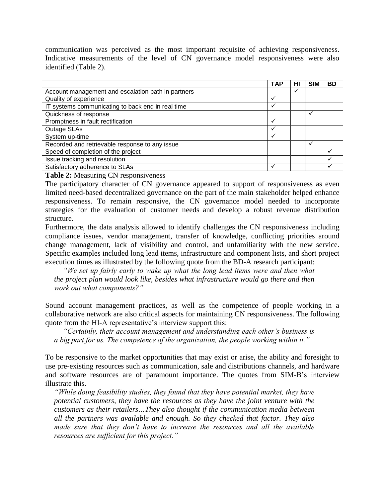communication was perceived as the most important requisite of achieving responsiveness. Indicative measurements of the level of CN governance model responsiveness were also identified (Table 2).

|                                                    | <b>TAP</b> | НΙ | <b>SIM</b> | <b>BD</b> |
|----------------------------------------------------|------------|----|------------|-----------|
| Account management and escalation path in partners |            |    |            |           |
| Quality of experience                              |            |    |            |           |
| IT systems communicating to back end in real time  |            |    |            |           |
| Quickness of response                              |            |    |            |           |
| Promptness in fault rectification                  |            |    |            |           |
| Outage SLAs                                        |            |    |            |           |
| System up-time                                     | ◡          |    |            |           |
| Recorded and retrievable response to any issue     |            |    |            |           |
| Speed of completion of the project                 |            |    |            |           |
| Issue tracking and resolution                      |            |    |            |           |
| Satisfactory adherence to SLAs                     |            |    |            |           |

**Table 2:** Measuring CN responsiveness

The participatory character of CN governance appeared to support of responsiveness as even limited need-based decentralized governance on the part of the main stakeholder helped enhance responsiveness. To remain responsive, the CN governance model needed to incorporate strategies for the evaluation of customer needs and develop a robust revenue distribution structure.

Furthermore, the data analysis allowed to identify challenges the CN responsiveness including compliance issues, vendor management, transfer of knowledge, conflicting priorities around change management, lack of visibility and control, and unfamiliarity with the new service. Specific examples included long lead items, infrastructure and component lists, and short project execution times as illustrated by the following quote from the BD-A research participant:

*"We set up fairly early to wake up what the long lead items were and then what the project plan would look like, besides what infrastructure would go there and then work out what components?"*

Sound account management practices, as well as the competence of people working in a collaborative network are also critical aspects for maintaining CN responsiveness. The following quote from the HI-A representative's interview support this:

*"Certainly, their account management and understanding each other's business is a big part for us. The competence of the organization, the people working within it."* 

To be responsive to the market opportunities that may exist or arise, the ability and foresight to use pre-existing resources such as communication, sale and distributions channels, and hardware and software resources are of paramount importance. The quotes from SIM-B's interview illustrate this.

*"While doing feasibility studies, they found that they have potential market, they have potential customers, they have the resources as they have the joint venture with the customers as their retailers…They also thought if the communication media between all the partners was available and enough. So they checked that factor. They also made sure that they don't have to increase the resources and all the available resources are sufficient for this project."*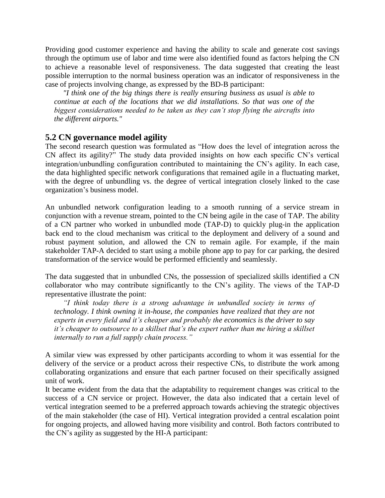Providing good customer experience and having the ability to scale and generate cost savings through the optimum use of labor and time were also identified found as factors helping the CN to achieve a reasonable level of responsiveness. The data suggested that creating the least possible interruption to the normal business operation was an indicator of responsiveness in the case of projects involving change, as expressed by the BD-B participant:

*"I think one of the big things there is really ensuring business as usual is able to continue at each of the locations that we did installations. So that was one of the biggest considerations needed to be taken as they can't stop flying the aircrafts into the different airports."*

#### **5.2 CN governance model agility**

The second research question was formulated as "How does the level of integration across the CN affect its agility?" The study data provided insights on how each specific CN's vertical integration/unbundling configuration contributed to maintaining the CN's agility. In each case, the data highlighted specific network configurations that remained agile in a fluctuating market, with the degree of unbundling vs. the degree of vertical integration closely linked to the case organization's business model.

An unbundled network configuration leading to a smooth running of a service stream in conjunction with a revenue stream, pointed to the CN being agile in the case of TAP. The ability of a CN partner who worked in unbundled mode (TAP-D) to quickly plug-in the application back end to the cloud mechanism was critical to the deployment and delivery of a sound and robust payment solution, and allowed the CN to remain agile. For example, if the main stakeholder TAP-A decided to start using a mobile phone app to pay for car parking, the desired transformation of the service would be performed efficiently and seamlessly.

The data suggested that in unbundled CNs, the possession of specialized skills identified a CN collaborator who may contribute significantly to the CN's agility. The views of the TAP-D representative illustrate the point:

*"I think today there is a strong advantage in unbundled society in terms of technology. I think owning it in-house, the companies have realized that they are not experts in every field and it's cheaper and probably the economics is the driver to say it's cheaper to outsource to a skillset that's the expert rather than me hiring a skillset internally to run a full supply chain process."*

A similar view was expressed by other participants according to whom it was essential for the delivery of the service or a product across their respective CNs, to distribute the work among collaborating organizations and ensure that each partner focused on their specifically assigned unit of work.

It became evident from the data that the adaptability to requirement changes was critical to the success of a CN service or project. However, the data also indicated that a certain level of vertical integration seemed to be a preferred approach towards achieving the strategic objectives of the main stakeholder (the case of HI). Vertical integration provided a central escalation point for ongoing projects, and allowed having more visibility and control. Both factors contributed to the CN's agility as suggested by the HI-A participant: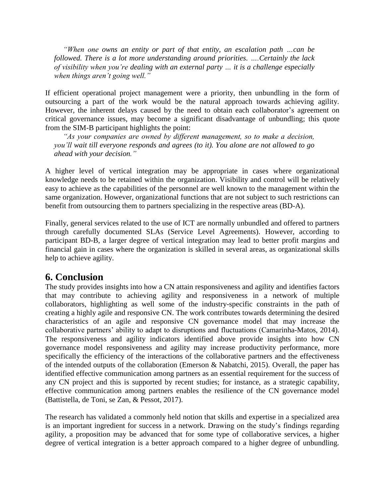*"When one owns an entity or part of that entity, an escalation path …can be followed. There is a lot more understanding around priorities. ….Certainly the lack of visibility when you're dealing with an external party … it is a challenge especially when things aren't going well."*

If efficient operational project management were a priority, then unbundling in the form of outsourcing a part of the work would be the natural approach towards achieving agility. However, the inherent delays caused by the need to obtain each collaborator's agreement on critical governance issues, may become a significant disadvantage of unbundling; this quote from the SIM-B participant highlights the point:

*"As your companies are owned by different management, so to make a decision, you'll wait till everyone responds and agrees (to it). You alone are not allowed to go ahead with your decision."*

A higher level of vertical integration may be appropriate in cases where organizational knowledge needs to be retained within the organization. Visibility and control will be relatively easy to achieve as the capabilities of the personnel are well known to the management within the same organization. However, organizational functions that are not subject to such restrictions can benefit from outsourcing them to partners specializing in the respective areas (BD-A).

Finally, general services related to the use of ICT are normally unbundled and offered to partners through carefully documented SLAs (Service Level Agreements). However, according to participant BD-B, a larger degree of vertical integration may lead to better profit margins and financial gain in cases where the organization is skilled in several areas, as organizational skills help to achieve agility.

### **6. Conclusion**

The study provides insights into how a CN attain responsiveness and agility and identifies factors that may contribute to achieving agility and responsiveness in a network of multiple collaborators, highlighting as well some of the industry-specific constraints in the path of creating a highly agile and responsive CN. The work contributes towards determining the desired characteristics of an agile and responsive CN governance model that may increase the collaborative partners' ability to adapt to disruptions and fluctuations (Camarinha-Matos, 2014). The responsiveness and agility indicators identified above provide insights into how CN governance model responsiveness and agility may increase productivity performance, more specifically the efficiency of the interactions of the collaborative partners and the effectiveness of the intended outputs of the collaboration (Emerson & Nabatchi, 2015). Overall, the paper has identified effective communication among partners as an essential requirement for the success of any CN project and this is supported by recent studies; for instance, as a strategic capability, effective communication among partners enables the resilience of the CN governance model (Battistella, de Toni, se Zan, & Pessot, 2017).

The research has validated a commonly held notion that skills and expertise in a specialized area is an important ingredient for success in a network. Drawing on the study's findings regarding agility, a proposition may be advanced that for some type of collaborative services, a higher degree of vertical integration is a better approach compared to a higher degree of unbundling.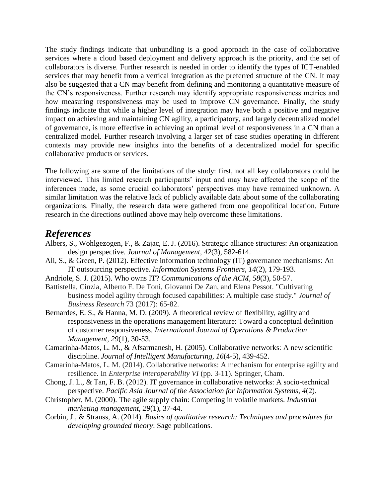The study findings indicate that unbundling is a good approach in the case of collaborative services where a cloud based deployment and delivery approach is the priority, and the set of collaborators is diverse. Further research is needed in order to identify the types of ICT-enabled services that may benefit from a vertical integration as the preferred structure of the CN. It may also be suggested that a CN may benefit from defining and monitoring a quantitative measure of the CN's responsiveness. Further research may identify appropriate responsiveness metrics and how measuring responsiveness may be used to improve CN governance. Finally, the study findings indicate that while a higher level of integration may have both a positive and negative impact on achieving and maintaining CN agility, a participatory, and largely decentralized model of governance, is more effective in achieving an optimal level of responsiveness in a CN than a centralized model. Further research involving a larger set of case studies operating in different contexts may provide new insights into the benefits of a decentralized model for specific collaborative products or services.

The following are some of the limitations of the study: first, not all key collaborators could be interviewed. This limited research participants' input and may have affected the scope of the inferences made, as some crucial collaborators' perspectives may have remained unknown. A similar limitation was the relative lack of publicly available data about some of the collaborating organizations. Finally, the research data were gathered from one geopolitical location. Future research in the directions outlined above may help overcome these limitations.

### *References*

- Albers, S., Wohlgezogen, F., & Zajac, E. J. (2016). Strategic alliance structures: An organization design perspective. *Journal of Management, 42*(3), 582-614.
- <span id="page-10-2"></span>Ali, S., & Green, P. (2012). Effective information technology (IT) governance mechanisms: An IT outsourcing perspective. *Information Systems Frontiers, 14*(2), 179-193.
- <span id="page-10-0"></span>Andriole, S. J. (2015). Who owns IT? *Communications of the ACM, 58*(3), 50-57.
- Battistella, Cinzia, Alberto F. De Toni, Giovanni De Zan, and Elena Pessot. "Cultivating business model agility through focused capabilities: A multiple case study." *Journal of Business Research* 73 (2017): 65-82.
- <span id="page-10-5"></span>Bernardes, E. S., & Hanna, M. D. (2009). A theoretical review of flexibility, agility and responsiveness in the operations management literature: Toward a conceptual definition of customer responsiveness. *International Journal of Operations & Production Management, 29*(1), 30-53.
- <span id="page-10-4"></span>Camarinha-Matos, L. M., & Afsarmanesh, H. (2005). Collaborative networks: A new scientific discipline. *Journal of Intelligent Manufacturing, 16*(4-5), 439-452.
- Camarinha-Matos, L. M. (2014). Collaborative networks: A mechanism for enterprise agility and resilience. In *Enterprise interoperability VI* (pp. 3-11). Springer, Cham.
- <span id="page-10-3"></span>Chong, J. L., & Tan, F. B. (2012). IT governance in collaborative networks: A socio-technical perspective. *Pacific Asia Journal of the Association for Information Systems, 4*(2).
- <span id="page-10-1"></span>Christopher, M. (2000). The agile supply chain: Competing in volatile markets. *Industrial marketing management, 29*(1), 37-44.
- <span id="page-10-6"></span>Corbin, J., & Strauss, A. (2014). *Basics of qualitative research: Techniques and procedures for developing grounded theory*: Sage publications.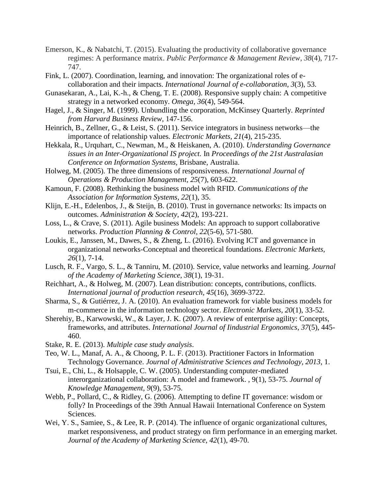- Emerson, K., & Nabatchi, T. (2015). Evaluating the productivity of collaborative governance regimes: A performance matrix. *Public Performance & Management Review*, *38*(4), 717- 747.
- <span id="page-11-9"></span>Fink, L. (2007). Coordination, learning, and innovation: The organizational roles of ecollaboration and their impacts. *International Journal of e-collaboration, 3*(3), 53.
- <span id="page-11-2"></span>Gunasekaran, A., Lai, K.-h., & Cheng, T. E. (2008). Responsive supply chain: A competitive strategy in a networked economy. *Omega, 36*(4), 549-564.
- <span id="page-11-16"></span>Hagel, J., & Singer, M. (1999). Unbundling the corporation, McKinsey Quarterly. *Reprinted from Harvard Business Review*, 147-156.
- <span id="page-11-12"></span>Heinrich, B., Zellner, G., & Leist, S. (2011). Service integrators in business networks—the importance of relationship values. *Electronic Markets, 21*(4), 215-235.
- <span id="page-11-6"></span>Hekkala, R., Urquhart, C., Newman, M., & Heiskanen, A. (2010). *Understanding Governance issues in an Inter-Organizational IS project.* In *Proceedings of the 21st Australasian Conference on Information Systems,* Brisbane, Australia.
- <span id="page-11-3"></span>Holweg, M. (2005). The three dimensions of responsiveness. *International Journal of Operations & Production Management, 25*(7), 603-622.
- <span id="page-11-1"></span>Kamoun, F. (2008). Rethinking the business model with RFID. *Communications of the Association for Information Systems, 22*(1), 35.
- <span id="page-11-13"></span>Klijn, E.-H., Edelenbos, J., & Steijn, B. (2010). Trust in governance networks: Its impacts on outcomes. *Administration & Society, 42*(2), 193-221.
- <span id="page-11-5"></span>Loss, L., & Crave, S. (2011). Agile business Models: An approach to support collaborative networks. *Production Planning & Control, 22*(5-6), 571-580.
- <span id="page-11-8"></span>Loukis, E., Janssen, M., Dawes, S., & Zheng, L. (2016). Evolving ICT and governance in organizational networks-Conceptual and theoretical foundations. *Electronic Markets, 26*(1), 7-14.
- <span id="page-11-0"></span>Lusch, R. F., Vargo, S. L., & Tanniru, M. (2010). Service, value networks and learning. *Journal of the Academy of Marketing Science, 38*(1), 19-31.
- <span id="page-11-4"></span>Reichhart, A., & Holweg, M. (2007). Lean distribution: concepts, contributions, conflicts. *International journal of production research, 45*(16), 3699-3722.
- <span id="page-11-18"></span>Sharma, S., & Gutiérrez, J. A. (2010). An evaluation framework for viable business models for m-commerce in the information technology sector. *Electronic Markets, 20*(1), 33-52.
- <span id="page-11-15"></span>Sherehiy, B., Karwowski, W., & Layer, J. K. (2007). A review of enterprise agility: Concepts, frameworks, and attributes. *International Journal of Iindustrial Ergonomics, 37*(5), 445- 460.
- <span id="page-11-17"></span>Stake, R. E. (2013). *Multiple case study analysis*.
- <span id="page-11-7"></span>Teo, W. L., Manaf, A. A., & Choong, P. L. F. (2013). Practitioner Factors in Information Technology Governance. *Journal of Administrative Sciences and Technology, 2013*, 1.
- <span id="page-11-10"></span>Tsui, E., Chi, L., & Holsapple, C. W. (2005). Understanding computer-mediated interorganizational collaboration: A model and framework. , 9(1), 53-75. *Journal of Knowledge Management, 9*(9), 53-75.
- <span id="page-11-11"></span>Webb, P., Pollard, C., & Ridley, G. (2006). Attempting to define IT governance: wisdom or folly? In Proceedings of the 39th Annual Hawaii International Conference on System Sciences.
- <span id="page-11-14"></span>Wei, Y. S., Samiee, S., & Lee, R. P. (2014). The influence of organic organizational cultures, market responsiveness, and product strategy on firm performance in an emerging market. *Journal of the Academy of Marketing Science, 42*(1), 49-70.